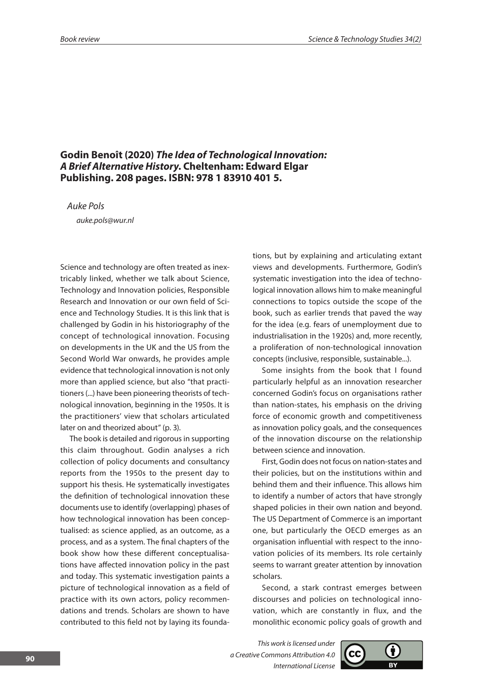## **Godin Benoît (2020)** *The Idea of Technological Innovation: A Brief Alternative History***. Cheltenham: Edward Elgar Publishing. 208 pages. ISBN: 978 1 83910 401 5.**

## *Auke Pols*

*auke.pols@wur.nl*

Science and technology are often treated as inextricably linked, whether we talk about Science, Technology and Innovation policies, Responsible Research and Innovation or our own field of Science and Technology Studies. It is this link that is challenged by Godin in his historiography of the concept of technological innovation. Focusing on developments in the UK and the US from the Second World War onwards, he provides ample evidence that technological innovation is not only more than applied science, but also "that practitioners (...) have been pioneering theorists of technological innovation, beginning in the 1950s. It is the practitioners' view that scholars articulated later on and theorized about" (p. 3).

The book is detailed and rigorous in supporting this claim throughout. Godin analyses a rich collection of policy documents and consultancy reports from the 1950s to the present day to support his thesis. He systematically investigates the definition of technological innovation these documents use to identify (overlapping) phases of how technological innovation has been conceptualised: as science applied, as an outcome, as a process, and as a system. The final chapters of the book show how these different conceptualisations have affected innovation policy in the past and today. This systematic investigation paints a picture of technological innovation as a field of practice with its own actors, policy recommendations and trends. Scholars are shown to have contributed to this field not by laying its foundations, but by explaining and articulating extant views and developments. Furthermore, Godin's systematic investigation into the idea of technological innovation allows him to make meaningful connections to topics outside the scope of the book, such as earlier trends that paved the way for the idea (e.g. fears of unemployment due to industrialisation in the 1920s) and, more recently, a proliferation of non-technological innovation concepts (inclusive, responsible, sustainable...).

Some insights from the book that I found particularly helpful as an innovation researcher concerned Godin's focus on organisations rather than nation-states, his emphasis on the driving force of economic growth and competitiveness as innovation policy goals, and the consequences of the innovation discourse on the relationship between science and innovation.

First, Godin does not focus on nation-states and their policies, but on the institutions within and behind them and their influence. This allows him to identify a number of actors that have strongly shaped policies in their own nation and beyond. The US Department of Commerce is an important one, but particularly the OECD emerges as an organisation influential with respect to the innovation policies of its members. Its role certainly seems to warrant greater attention by innovation scholars.

Second, a stark contrast emerges between discourses and policies on technological innovation, which are constantly in flux, and the monolithic economic policy goals of growth and

*This work is licensed under a Creative Commons Attribution 4.0 International License*